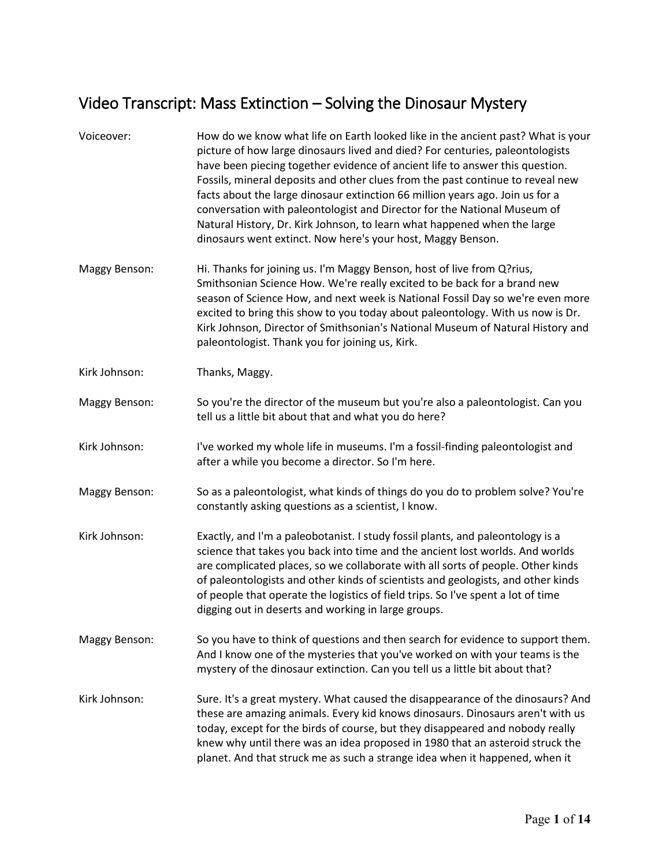## Video Transcript: Mass Extinction – Solving the Dinosaur Mystery

| Voiceover:    | How do we know what life on Earth looked like in the ancient past? What is your<br>picture of how large dinosaurs lived and died? For centuries, paleontologists<br>have been piecing together evidence of ancient life to answer this question.<br>Fossils, mineral deposits and other clues from the past continue to reveal new<br>facts about the large dinosaur extinction 66 million years ago. Join us for a<br>conversation with paleontologist and Director for the National Museum of<br>Natural History, Dr. Kirk Johnson, to learn what happened when the large<br>dinosaurs went extinct. Now here's your host, Maggy Benson. |
|---------------|--------------------------------------------------------------------------------------------------------------------------------------------------------------------------------------------------------------------------------------------------------------------------------------------------------------------------------------------------------------------------------------------------------------------------------------------------------------------------------------------------------------------------------------------------------------------------------------------------------------------------------------------|
| Maggy Benson: | Hi. Thanks for joining us. I'm Maggy Benson, host of live from Q?rius,<br>Smithsonian Science How. We're really excited to be back for a brand new<br>season of Science How, and next week is National Fossil Day so we're even more<br>excited to bring this show to you today about paleontology. With us now is Dr.<br>Kirk Johnson, Director of Smithsonian's National Museum of Natural History and<br>paleontologist. Thank you for joining us, Kirk.                                                                                                                                                                                |
| Kirk Johnson: | Thanks, Maggy.                                                                                                                                                                                                                                                                                                                                                                                                                                                                                                                                                                                                                             |
| Maggy Benson: | So you're the director of the museum but you're also a paleontologist. Can you<br>tell us a little bit about that and what you do here?                                                                                                                                                                                                                                                                                                                                                                                                                                                                                                    |
| Kirk Johnson: | I've worked my whole life in museums. I'm a fossil-finding paleontologist and<br>after a while you become a director. So I'm here.                                                                                                                                                                                                                                                                                                                                                                                                                                                                                                         |
| Maggy Benson: | So as a paleontologist, what kinds of things do you do to problem solve? You're<br>constantly asking questions as a scientist, I know.                                                                                                                                                                                                                                                                                                                                                                                                                                                                                                     |
| Kirk Johnson: | Exactly, and I'm a paleobotanist. I study fossil plants, and paleontology is a<br>science that takes you back into time and the ancient lost worlds. And worlds<br>are complicated places, so we collaborate with all sorts of people. Other kinds<br>of paleontologists and other kinds of scientists and geologists, and other kinds<br>of people that operate the logistics of field trips. So I've spent a lot of time<br>digging out in deserts and working in large groups.                                                                                                                                                          |
| Maggy Benson: | So you have to think of questions and then search for evidence to support them.<br>And I know one of the mysteries that you've worked on with your teams is the<br>mystery of the dinosaur extinction. Can you tell us a little bit about that?                                                                                                                                                                                                                                                                                                                                                                                            |
| Kirk Johnson: | Sure. It's a great mystery. What caused the disappearance of the dinosaurs? And<br>these are amazing animals. Every kid knows dinosaurs. Dinosaurs aren't with us<br>today, except for the birds of course, but they disappeared and nobody really<br>knew why until there was an idea proposed in 1980 that an asteroid struck the<br>planet. And that struck me as such a strange idea when it happened, when it                                                                                                                                                                                                                         |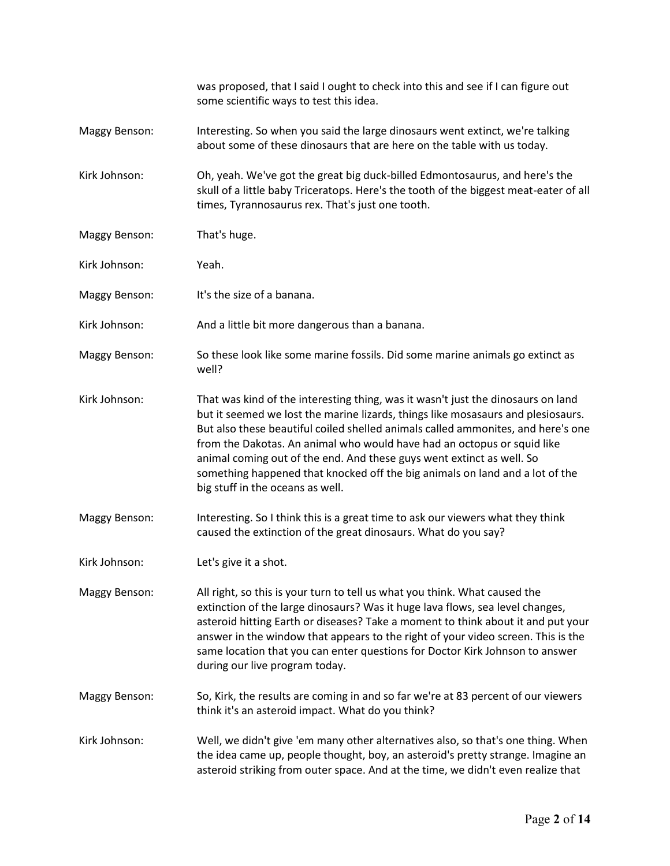|               | was proposed, that I said I ought to check into this and see if I can figure out<br>some scientific ways to test this idea.                                                                                                                                                                                                                                                                                                                                                                                                      |
|---------------|----------------------------------------------------------------------------------------------------------------------------------------------------------------------------------------------------------------------------------------------------------------------------------------------------------------------------------------------------------------------------------------------------------------------------------------------------------------------------------------------------------------------------------|
| Maggy Benson: | Interesting. So when you said the large dinosaurs went extinct, we're talking<br>about some of these dinosaurs that are here on the table with us today.                                                                                                                                                                                                                                                                                                                                                                         |
| Kirk Johnson: | Oh, yeah. We've got the great big duck-billed Edmontosaurus, and here's the<br>skull of a little baby Triceratops. Here's the tooth of the biggest meat-eater of all<br>times, Tyrannosaurus rex. That's just one tooth.                                                                                                                                                                                                                                                                                                         |
| Maggy Benson: | That's huge.                                                                                                                                                                                                                                                                                                                                                                                                                                                                                                                     |
| Kirk Johnson: | Yeah.                                                                                                                                                                                                                                                                                                                                                                                                                                                                                                                            |
| Maggy Benson: | It's the size of a banana.                                                                                                                                                                                                                                                                                                                                                                                                                                                                                                       |
| Kirk Johnson: | And a little bit more dangerous than a banana.                                                                                                                                                                                                                                                                                                                                                                                                                                                                                   |
| Maggy Benson: | So these look like some marine fossils. Did some marine animals go extinct as<br>well?                                                                                                                                                                                                                                                                                                                                                                                                                                           |
| Kirk Johnson: | That was kind of the interesting thing, was it wasn't just the dinosaurs on land<br>but it seemed we lost the marine lizards, things like mosasaurs and plesiosaurs.<br>But also these beautiful coiled shelled animals called ammonites, and here's one<br>from the Dakotas. An animal who would have had an octopus or squid like<br>animal coming out of the end. And these guys went extinct as well. So<br>something happened that knocked off the big animals on land and a lot of the<br>big stuff in the oceans as well. |
| Maggy Benson: | Interesting. So I think this is a great time to ask our viewers what they think<br>caused the extinction of the great dinosaurs. What do you say?                                                                                                                                                                                                                                                                                                                                                                                |
| Kirk Johnson: | Let's give it a shot.                                                                                                                                                                                                                                                                                                                                                                                                                                                                                                            |
| Maggy Benson: | All right, so this is your turn to tell us what you think. What caused the<br>extinction of the large dinosaurs? Was it huge lava flows, sea level changes,<br>asteroid hitting Earth or diseases? Take a moment to think about it and put your<br>answer in the window that appears to the right of your video screen. This is the<br>same location that you can enter questions for Doctor Kirk Johnson to answer<br>during our live program today.                                                                            |
| Maggy Benson: | So, Kirk, the results are coming in and so far we're at 83 percent of our viewers<br>think it's an asteroid impact. What do you think?                                                                                                                                                                                                                                                                                                                                                                                           |
| Kirk Johnson: | Well, we didn't give 'em many other alternatives also, so that's one thing. When<br>the idea came up, people thought, boy, an asteroid's pretty strange. Imagine an<br>asteroid striking from outer space. And at the time, we didn't even realize that                                                                                                                                                                                                                                                                          |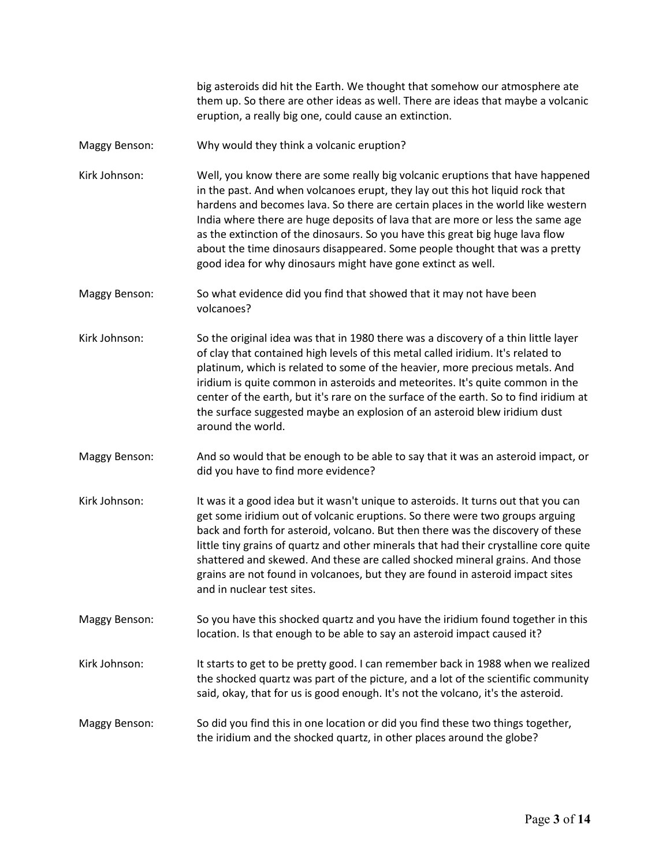big asteroids did hit the Earth. We thought that somehow our atmosphere ate them up. So there are other ideas as well. There are ideas that maybe a volcanic eruption, a really big one, could cause an extinction.

- Maggy Benson: Why would they think a volcanic eruption?
- Kirk Johnson: Well, you know there are some really big volcanic eruptions that have happened in the past. And when volcanoes erupt, they lay out this hot liquid rock that hardens and becomes lava. So there are certain places in the world like western India where there are huge deposits of lava that are more or less the same age as the extinction of the dinosaurs. So you have this great big huge lava flow about the time dinosaurs disappeared. Some people thought that was a pretty good idea for why dinosaurs might have gone extinct as well.
- Maggy Benson: So what evidence did you find that showed that it may not have been volcanoes?
- Kirk Johnson: So the original idea was that in 1980 there was a discovery of a thin little layer of clay that contained high levels of this metal called iridium. It's related to platinum, which is related to some of the heavier, more precious metals. And iridium is quite common in asteroids and meteorites. It's quite common in the center of the earth, but it's rare on the surface of the earth. So to find iridium at the surface suggested maybe an explosion of an asteroid blew iridium dust around the world.
- Maggy Benson: And so would that be enough to be able to say that it was an asteroid impact, or did you have to find more evidence?
- Kirk Johnson: It was it a good idea but it wasn't unique to asteroids. It turns out that you can get some iridium out of volcanic eruptions. So there were two groups arguing back and forth for asteroid, volcano. But then there was the discovery of these little tiny grains of quartz and other minerals that had their crystalline core quite shattered and skewed. And these are called shocked mineral grains. And those grains are not found in volcanoes, but they are found in asteroid impact sites and in nuclear test sites.
- Maggy Benson: So you have this shocked quartz and you have the iridium found together in this location. Is that enough to be able to say an asteroid impact caused it?
- Kirk Johnson: It starts to get to be pretty good. I can remember back in 1988 when we realized the shocked quartz was part of the picture, and a lot of the scientific community said, okay, that for us is good enough. It's not the volcano, it's the asteroid.
- Maggy Benson: So did you find this in one location or did you find these two things together, the iridium and the shocked quartz, in other places around the globe?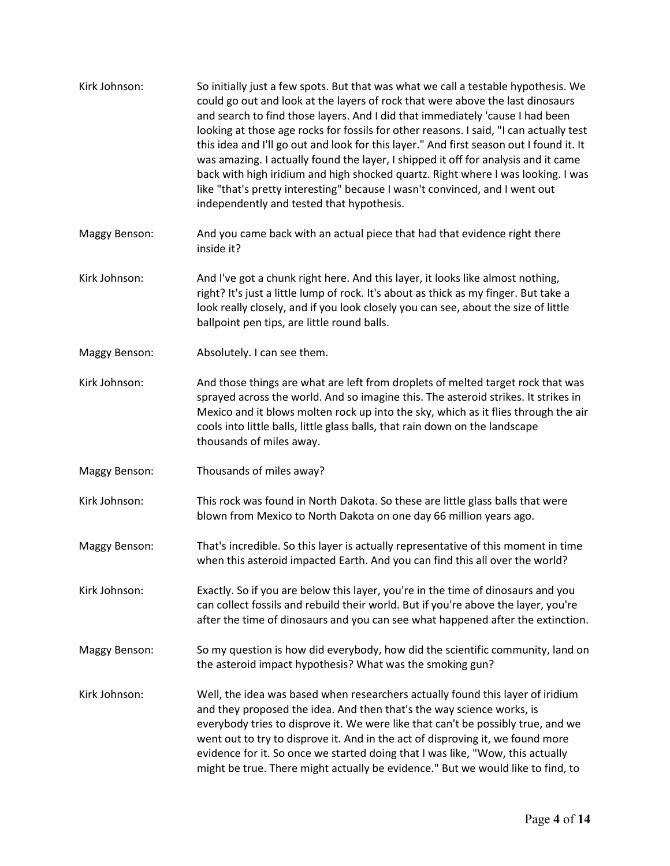| Kirk Johnson: | So initially just a few spots. But that was what we call a testable hypothesis. We<br>could go out and look at the layers of rock that were above the last dinosaurs<br>and search to find those layers. And I did that immediately 'cause I had been<br>looking at those age rocks for fossils for other reasons. I said, "I can actually test<br>this idea and I'll go out and look for this layer." And first season out I found it. It<br>was amazing. I actually found the layer, I shipped it off for analysis and it came<br>back with high iridium and high shocked quartz. Right where I was looking. I was<br>like "that's pretty interesting" because I wasn't convinced, and I went out<br>independently and tested that hypothesis. |
|---------------|--------------------------------------------------------------------------------------------------------------------------------------------------------------------------------------------------------------------------------------------------------------------------------------------------------------------------------------------------------------------------------------------------------------------------------------------------------------------------------------------------------------------------------------------------------------------------------------------------------------------------------------------------------------------------------------------------------------------------------------------------|
| Maggy Benson: | And you came back with an actual piece that had that evidence right there<br>inside it?                                                                                                                                                                                                                                                                                                                                                                                                                                                                                                                                                                                                                                                          |
| Kirk Johnson: | And I've got a chunk right here. And this layer, it looks like almost nothing,<br>right? It's just a little lump of rock. It's about as thick as my finger. But take a<br>look really closely, and if you look closely you can see, about the size of little<br>ballpoint pen tips, are little round balls.                                                                                                                                                                                                                                                                                                                                                                                                                                      |
| Maggy Benson: | Absolutely. I can see them.                                                                                                                                                                                                                                                                                                                                                                                                                                                                                                                                                                                                                                                                                                                      |
| Kirk Johnson: | And those things are what are left from droplets of melted target rock that was<br>sprayed across the world. And so imagine this. The asteroid strikes. It strikes in<br>Mexico and it blows molten rock up into the sky, which as it flies through the air<br>cools into little balls, little glass balls, that rain down on the landscape<br>thousands of miles away.                                                                                                                                                                                                                                                                                                                                                                          |
| Maggy Benson: | Thousands of miles away?                                                                                                                                                                                                                                                                                                                                                                                                                                                                                                                                                                                                                                                                                                                         |
| Kirk Johnson: | This rock was found in North Dakota. So these are little glass balls that were<br>blown from Mexico to North Dakota on one day 66 million years ago.                                                                                                                                                                                                                                                                                                                                                                                                                                                                                                                                                                                             |
| Maggy Benson: | That's incredible. So this layer is actually representative of this moment in time<br>when this asteroid impacted Earth. And you can find this all over the world?                                                                                                                                                                                                                                                                                                                                                                                                                                                                                                                                                                               |
| Kirk Johnson: | Exactly. So if you are below this layer, you're in the time of dinosaurs and you<br>can collect fossils and rebuild their world. But if you're above the layer, you're<br>after the time of dinosaurs and you can see what happened after the extinction.                                                                                                                                                                                                                                                                                                                                                                                                                                                                                        |
| Maggy Benson: | So my question is how did everybody, how did the scientific community, land on<br>the asteroid impact hypothesis? What was the smoking gun?                                                                                                                                                                                                                                                                                                                                                                                                                                                                                                                                                                                                      |
| Kirk Johnson: | Well, the idea was based when researchers actually found this layer of iridium<br>and they proposed the idea. And then that's the way science works, is<br>everybody tries to disprove it. We were like that can't be possibly true, and we<br>went out to try to disprove it. And in the act of disproving it, we found more<br>evidence for it. So once we started doing that I was like, "Wow, this actually<br>might be true. There might actually be evidence." But we would like to find, to                                                                                                                                                                                                                                               |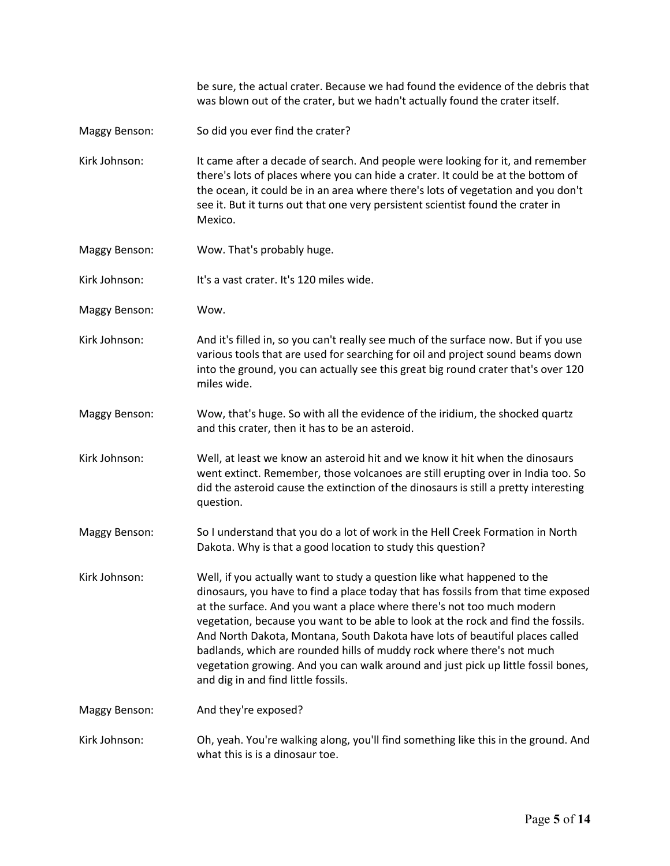be sure, the actual crater. Because we had found the evidence of the debris that was blown out of the crater, but we hadn't actually found the crater itself.

Maggy Benson: So did you ever find the crater?

Kirk Johnson: It came after a decade of search. And people were looking for it, and remember there's lots of places where you can hide a crater. It could be at the bottom of the ocean, it could be in an area where there's lots of vegetation and you don't see it. But it turns out that one very persistent scientist found the crater in Mexico.

- Maggy Benson: Wow. That's probably huge.
- Kirk Johnson: It's a vast crater. It's 120 miles wide.
- Maggy Benson: Wow.
- Kirk Johnson: And it's filled in, so you can't really see much of the surface now. But if you use various tools that are used for searching for oil and project sound beams down into the ground, you can actually see this great big round crater that's over 120 miles wide.
- Maggy Benson: Wow, that's huge. So with all the evidence of the iridium, the shocked quartz and this crater, then it has to be an asteroid.
- Kirk Johnson: Well, at least we know an asteroid hit and we know it hit when the dinosaurs went extinct. Remember, those volcanoes are still erupting over in India too. So did the asteroid cause the extinction of the dinosaurs is still a pretty interesting question.
- Maggy Benson: So I understand that you do a lot of work in the Hell Creek Formation in North Dakota. Why is that a good location to study this question?
- Kirk Johnson: Well, if you actually want to study a question like what happened to the dinosaurs, you have to find a place today that has fossils from that time exposed at the surface. And you want a place where there's not too much modern vegetation, because you want to be able to look at the rock and find the fossils. And North Dakota, Montana, South Dakota have lots of beautiful places called badlands, which are rounded hills of muddy rock where there's not much vegetation growing. And you can walk around and just pick up little fossil bones, and dig in and find little fossils.
- Maggy Benson: And they're exposed?
- Kirk Johnson: Oh, yeah. You're walking along, you'll find something like this in the ground. And what this is is a dinosaur toe.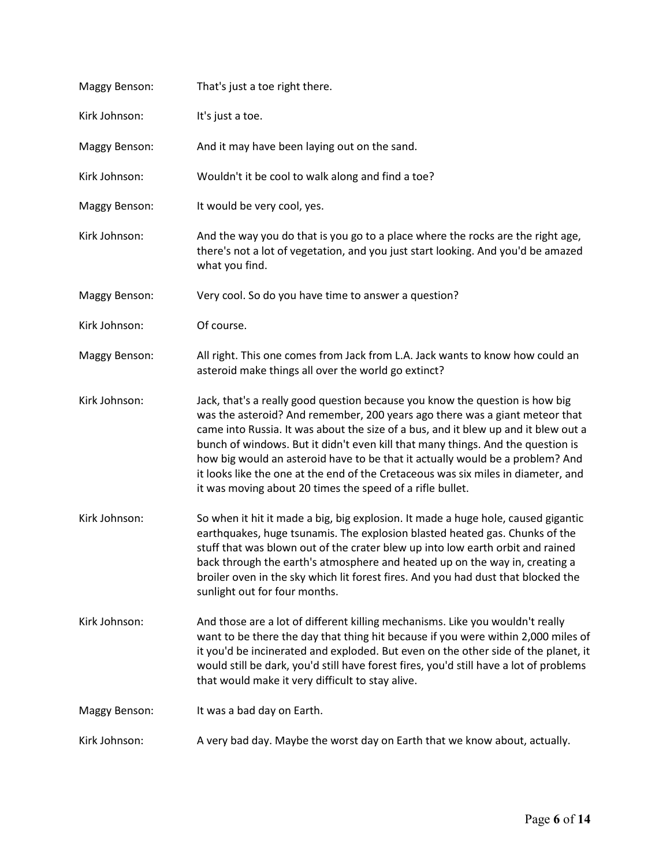| Maggy Benson: | That's just a toe right there.                                                                                                                                                                                                                                                                                                                                                                                                                                                                                                                                          |
|---------------|-------------------------------------------------------------------------------------------------------------------------------------------------------------------------------------------------------------------------------------------------------------------------------------------------------------------------------------------------------------------------------------------------------------------------------------------------------------------------------------------------------------------------------------------------------------------------|
| Kirk Johnson: | It's just a toe.                                                                                                                                                                                                                                                                                                                                                                                                                                                                                                                                                        |
| Maggy Benson: | And it may have been laying out on the sand.                                                                                                                                                                                                                                                                                                                                                                                                                                                                                                                            |
| Kirk Johnson: | Wouldn't it be cool to walk along and find a toe?                                                                                                                                                                                                                                                                                                                                                                                                                                                                                                                       |
| Maggy Benson: | It would be very cool, yes.                                                                                                                                                                                                                                                                                                                                                                                                                                                                                                                                             |
| Kirk Johnson: | And the way you do that is you go to a place where the rocks are the right age,<br>there's not a lot of vegetation, and you just start looking. And you'd be amazed<br>what you find.                                                                                                                                                                                                                                                                                                                                                                                   |
| Maggy Benson: | Very cool. So do you have time to answer a question?                                                                                                                                                                                                                                                                                                                                                                                                                                                                                                                    |
| Kirk Johnson: | Of course.                                                                                                                                                                                                                                                                                                                                                                                                                                                                                                                                                              |
| Maggy Benson: | All right. This one comes from Jack from L.A. Jack wants to know how could an<br>asteroid make things all over the world go extinct?                                                                                                                                                                                                                                                                                                                                                                                                                                    |
| Kirk Johnson: | Jack, that's a really good question because you know the question is how big<br>was the asteroid? And remember, 200 years ago there was a giant meteor that<br>came into Russia. It was about the size of a bus, and it blew up and it blew out a<br>bunch of windows. But it didn't even kill that many things. And the question is<br>how big would an asteroid have to be that it actually would be a problem? And<br>it looks like the one at the end of the Cretaceous was six miles in diameter, and<br>it was moving about 20 times the speed of a rifle bullet. |
| Kirk Johnson: | So when it hit it made a big, big explosion. It made a huge hole, caused gigantic<br>earthquakes, huge tsunamis. The explosion blasted heated gas. Chunks of the<br>stuff that was blown out of the crater blew up into low earth orbit and rained<br>back through the earth's atmosphere and heated up on the way in, creating a<br>broiler oven in the sky which lit forest fires. And you had dust that blocked the<br>sunlight out for four months.                                                                                                                 |
| Kirk Johnson: | And those are a lot of different killing mechanisms. Like you wouldn't really<br>want to be there the day that thing hit because if you were within 2,000 miles of<br>it you'd be incinerated and exploded. But even on the other side of the planet, it<br>would still be dark, you'd still have forest fires, you'd still have a lot of problems<br>that would make it very difficult to stay alive.                                                                                                                                                                  |
| Maggy Benson: | It was a bad day on Earth.                                                                                                                                                                                                                                                                                                                                                                                                                                                                                                                                              |
| Kirk Johnson: | A very bad day. Maybe the worst day on Earth that we know about, actually.                                                                                                                                                                                                                                                                                                                                                                                                                                                                                              |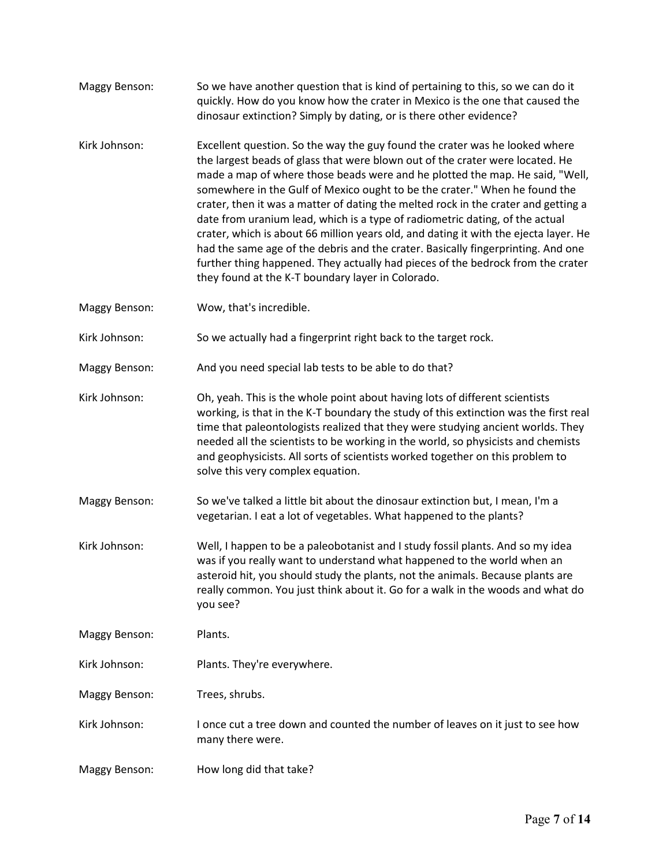| Maggy Benson: | So we have another question that is kind of pertaining to this, so we can do it<br>quickly. How do you know how the crater in Mexico is the one that caused the<br>dinosaur extinction? Simply by dating, or is there other evidence?                                                                                                                                                                                                                                                                                                                                                                                                                                                                                                                                                                                |
|---------------|----------------------------------------------------------------------------------------------------------------------------------------------------------------------------------------------------------------------------------------------------------------------------------------------------------------------------------------------------------------------------------------------------------------------------------------------------------------------------------------------------------------------------------------------------------------------------------------------------------------------------------------------------------------------------------------------------------------------------------------------------------------------------------------------------------------------|
| Kirk Johnson: | Excellent question. So the way the guy found the crater was he looked where<br>the largest beads of glass that were blown out of the crater were located. He<br>made a map of where those beads were and he plotted the map. He said, "Well,<br>somewhere in the Gulf of Mexico ought to be the crater." When he found the<br>crater, then it was a matter of dating the melted rock in the crater and getting a<br>date from uranium lead, which is a type of radiometric dating, of the actual<br>crater, which is about 66 million years old, and dating it with the ejecta layer. He<br>had the same age of the debris and the crater. Basically fingerprinting. And one<br>further thing happened. They actually had pieces of the bedrock from the crater<br>they found at the K-T boundary layer in Colorado. |
| Maggy Benson: | Wow, that's incredible.                                                                                                                                                                                                                                                                                                                                                                                                                                                                                                                                                                                                                                                                                                                                                                                              |
| Kirk Johnson: | So we actually had a fingerprint right back to the target rock.                                                                                                                                                                                                                                                                                                                                                                                                                                                                                                                                                                                                                                                                                                                                                      |
| Maggy Benson: | And you need special lab tests to be able to do that?                                                                                                                                                                                                                                                                                                                                                                                                                                                                                                                                                                                                                                                                                                                                                                |
| Kirk Johnson: | Oh, yeah. This is the whole point about having lots of different scientists<br>working, is that in the K-T boundary the study of this extinction was the first real<br>time that paleontologists realized that they were studying ancient worlds. They<br>needed all the scientists to be working in the world, so physicists and chemists<br>and geophysicists. All sorts of scientists worked together on this problem to<br>solve this very complex equation.                                                                                                                                                                                                                                                                                                                                                     |
| Maggy Benson: | So we've talked a little bit about the dinosaur extinction but, I mean, I'm a<br>vegetarian. I eat a lot of vegetables. What happened to the plants?                                                                                                                                                                                                                                                                                                                                                                                                                                                                                                                                                                                                                                                                 |
| Kirk Johnson: | Well, I happen to be a paleobotanist and I study fossil plants. And so my idea<br>was if you really want to understand what happened to the world when an<br>asteroid hit, you should study the plants, not the animals. Because plants are<br>really common. You just think about it. Go for a walk in the woods and what do<br>you see?                                                                                                                                                                                                                                                                                                                                                                                                                                                                            |
| Maggy Benson: | Plants.                                                                                                                                                                                                                                                                                                                                                                                                                                                                                                                                                                                                                                                                                                                                                                                                              |
| Kirk Johnson: | Plants. They're everywhere.                                                                                                                                                                                                                                                                                                                                                                                                                                                                                                                                                                                                                                                                                                                                                                                          |
| Maggy Benson: | Trees, shrubs.                                                                                                                                                                                                                                                                                                                                                                                                                                                                                                                                                                                                                                                                                                                                                                                                       |
| Kirk Johnson: | I once cut a tree down and counted the number of leaves on it just to see how<br>many there were.                                                                                                                                                                                                                                                                                                                                                                                                                                                                                                                                                                                                                                                                                                                    |
| Maggy Benson: | How long did that take?                                                                                                                                                                                                                                                                                                                                                                                                                                                                                                                                                                                                                                                                                                                                                                                              |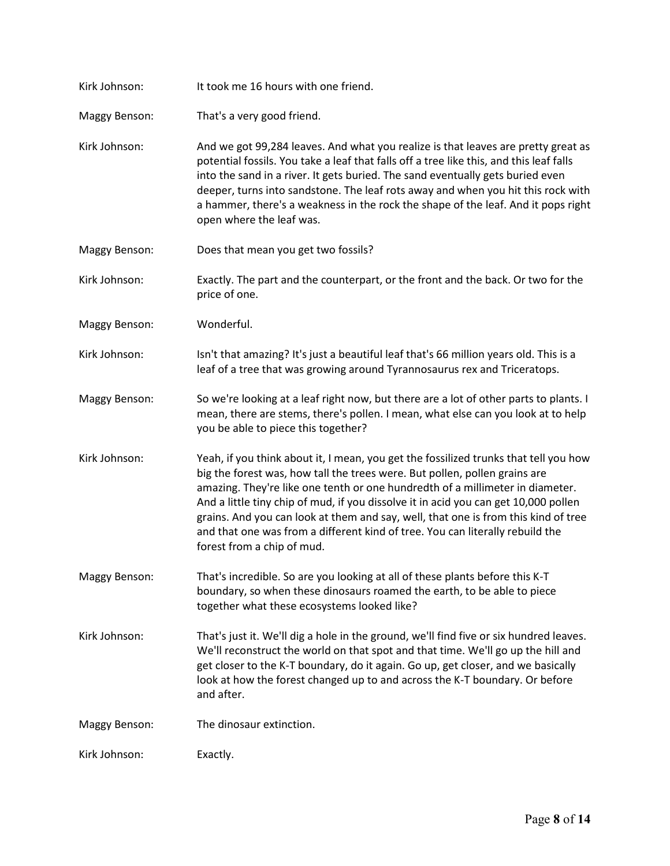| Kirk Johnson:        | It took me 16 hours with one friend.                                                                                                                                                                                                                                                                                                                                                                                                                                                                                                            |
|----------------------|-------------------------------------------------------------------------------------------------------------------------------------------------------------------------------------------------------------------------------------------------------------------------------------------------------------------------------------------------------------------------------------------------------------------------------------------------------------------------------------------------------------------------------------------------|
| <b>Maggy Benson:</b> | That's a very good friend.                                                                                                                                                                                                                                                                                                                                                                                                                                                                                                                      |
| Kirk Johnson:        | And we got 99,284 leaves. And what you realize is that leaves are pretty great as<br>potential fossils. You take a leaf that falls off a tree like this, and this leaf falls<br>into the sand in a river. It gets buried. The sand eventually gets buried even<br>deeper, turns into sandstone. The leaf rots away and when you hit this rock with<br>a hammer, there's a weakness in the rock the shape of the leaf. And it pops right<br>open where the leaf was.                                                                             |
| Maggy Benson:        | Does that mean you get two fossils?                                                                                                                                                                                                                                                                                                                                                                                                                                                                                                             |
| Kirk Johnson:        | Exactly. The part and the counterpart, or the front and the back. Or two for the<br>price of one.                                                                                                                                                                                                                                                                                                                                                                                                                                               |
| Maggy Benson:        | Wonderful.                                                                                                                                                                                                                                                                                                                                                                                                                                                                                                                                      |
| Kirk Johnson:        | Isn't that amazing? It's just a beautiful leaf that's 66 million years old. This is a<br>leaf of a tree that was growing around Tyrannosaurus rex and Triceratops.                                                                                                                                                                                                                                                                                                                                                                              |
| Maggy Benson:        | So we're looking at a leaf right now, but there are a lot of other parts to plants. I<br>mean, there are stems, there's pollen. I mean, what else can you look at to help<br>you be able to piece this together?                                                                                                                                                                                                                                                                                                                                |
| Kirk Johnson:        | Yeah, if you think about it, I mean, you get the fossilized trunks that tell you how<br>big the forest was, how tall the trees were. But pollen, pollen grains are<br>amazing. They're like one tenth or one hundredth of a millimeter in diameter.<br>And a little tiny chip of mud, if you dissolve it in acid you can get 10,000 pollen<br>grains. And you can look at them and say, well, that one is from this kind of tree<br>and that one was from a different kind of tree. You can literally rebuild the<br>forest from a chip of mud. |
| <b>Maggy Benson:</b> | That's incredible. So are you looking at all of these plants before this K-T<br>boundary, so when these dinosaurs roamed the earth, to be able to piece<br>together what these ecosystems looked like?                                                                                                                                                                                                                                                                                                                                          |
| Kirk Johnson:        | That's just it. We'll dig a hole in the ground, we'll find five or six hundred leaves.<br>We'll reconstruct the world on that spot and that time. We'll go up the hill and<br>get closer to the K-T boundary, do it again. Go up, get closer, and we basically<br>look at how the forest changed up to and across the K-T boundary. Or before<br>and after.                                                                                                                                                                                     |
| Maggy Benson:        | The dinosaur extinction.                                                                                                                                                                                                                                                                                                                                                                                                                                                                                                                        |
| Kirk Johnson:        | Exactly.                                                                                                                                                                                                                                                                                                                                                                                                                                                                                                                                        |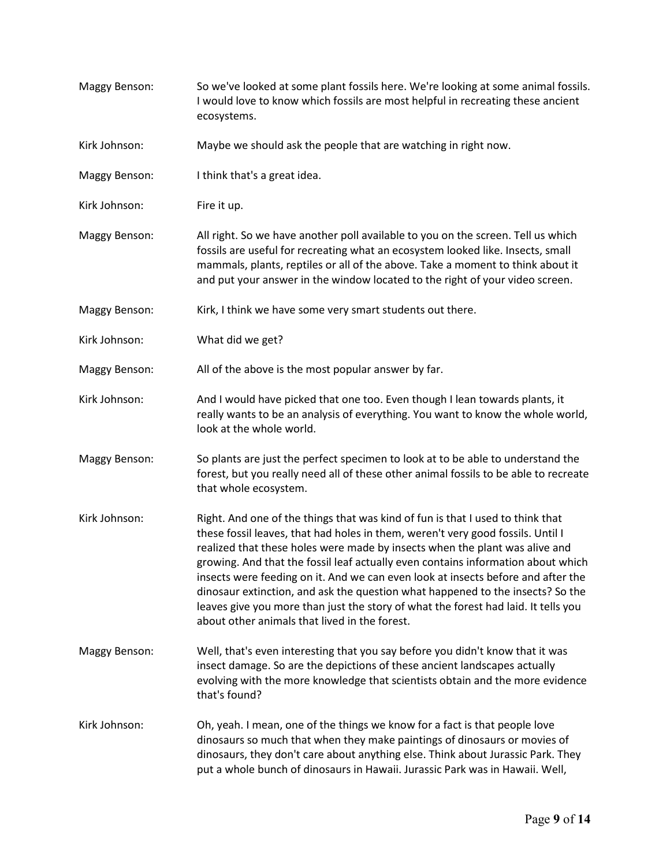Maggy Benson: So we've looked at some plant fossils here. We're looking at some animal fossils. I would love to know which fossils are most helpful in recreating these ancient ecosystems. Kirk Johnson: Maybe we should ask the people that are watching in right now. Maggy Benson: I think that's a great idea. Kirk Johnson: Fire it up. Maggy Benson: All right. So we have another poll available to you on the screen. Tell us which fossils are useful for recreating what an ecosystem looked like. Insects, small mammals, plants, reptiles or all of the above. Take a moment to think about it and put your answer in the window located to the right of your video screen. Maggy Benson: Kirk, I think we have some very smart students out there. Kirk Johnson: What did we get? Maggy Benson: All of the above is the most popular answer by far. Kirk Johnson: And I would have picked that one too. Even though I lean towards plants, it really wants to be an analysis of everything. You want to know the whole world, look at the whole world. Maggy Benson: So plants are just the perfect specimen to look at to be able to understand the forest, but you really need all of these other animal fossils to be able to recreate that whole ecosystem. Kirk Johnson: Right. And one of the things that was kind of fun is that I used to think that these fossil leaves, that had holes in them, weren't very good fossils. Until I realized that these holes were made by insects when the plant was alive and growing. And that the fossil leaf actually even contains information about which insects were feeding on it. And we can even look at insects before and after the dinosaur extinction, and ask the question what happened to the insects? So the leaves give you more than just the story of what the forest had laid. It tells you about other animals that lived in the forest. Maggy Benson: Well, that's even interesting that you say before you didn't know that it was insect damage. So are the depictions of these ancient landscapes actually evolving with the more knowledge that scientists obtain and the more evidence that's found? Kirk Johnson: Oh, yeah. I mean, one of the things we know for a fact is that people love dinosaurs so much that when they make paintings of dinosaurs or movies of dinosaurs, they don't care about anything else. Think about Jurassic Park. They put a whole bunch of dinosaurs in Hawaii. Jurassic Park was in Hawaii. Well,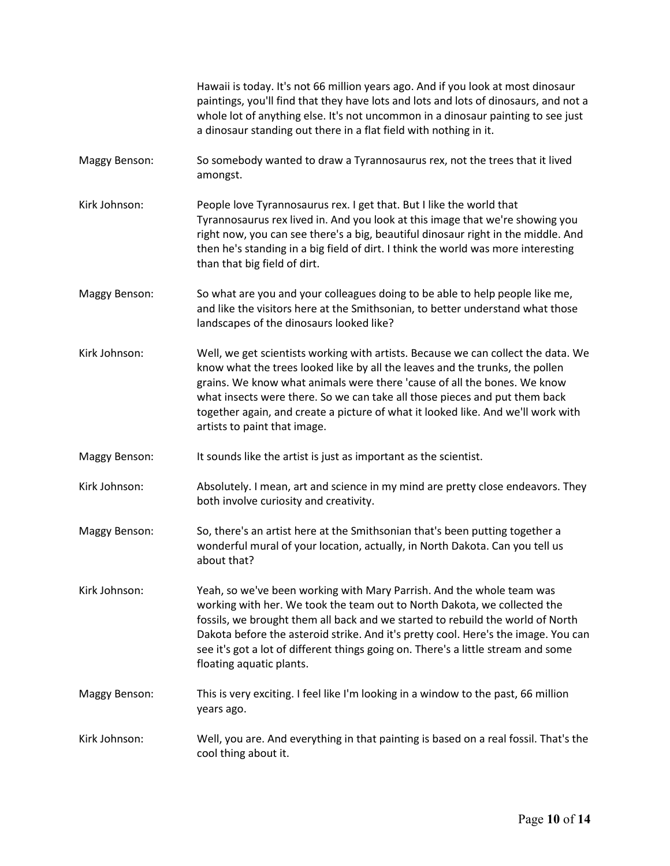|                      | Hawaii is today. It's not 66 million years ago. And if you look at most dinosaur<br>paintings, you'll find that they have lots and lots and lots of dinosaurs, and not a<br>whole lot of anything else. It's not uncommon in a dinosaur painting to see just<br>a dinosaur standing out there in a flat field with nothing in it.                                                                                                               |
|----------------------|-------------------------------------------------------------------------------------------------------------------------------------------------------------------------------------------------------------------------------------------------------------------------------------------------------------------------------------------------------------------------------------------------------------------------------------------------|
| Maggy Benson:        | So somebody wanted to draw a Tyrannosaurus rex, not the trees that it lived<br>amongst.                                                                                                                                                                                                                                                                                                                                                         |
| Kirk Johnson:        | People love Tyrannosaurus rex. I get that. But I like the world that<br>Tyrannosaurus rex lived in. And you look at this image that we're showing you<br>right now, you can see there's a big, beautiful dinosaur right in the middle. And<br>then he's standing in a big field of dirt. I think the world was more interesting<br>than that big field of dirt.                                                                                 |
| <b>Maggy Benson:</b> | So what are you and your colleagues doing to be able to help people like me,<br>and like the visitors here at the Smithsonian, to better understand what those<br>landscapes of the dinosaurs looked like?                                                                                                                                                                                                                                      |
| Kirk Johnson:        | Well, we get scientists working with artists. Because we can collect the data. We<br>know what the trees looked like by all the leaves and the trunks, the pollen<br>grains. We know what animals were there 'cause of all the bones. We know<br>what insects were there. So we can take all those pieces and put them back<br>together again, and create a picture of what it looked like. And we'll work with<br>artists to paint that image. |
| <b>Maggy Benson:</b> | It sounds like the artist is just as important as the scientist.                                                                                                                                                                                                                                                                                                                                                                                |
| Kirk Johnson:        | Absolutely. I mean, art and science in my mind are pretty close endeavors. They<br>both involve curiosity and creativity.                                                                                                                                                                                                                                                                                                                       |
| <b>Maggy Benson:</b> | So, there's an artist here at the Smithsonian that's been putting together a<br>wonderful mural of your location, actually, in North Dakota. Can you tell us<br>about that?                                                                                                                                                                                                                                                                     |
| Kirk Johnson:        | Yeah, so we've been working with Mary Parrish. And the whole team was<br>working with her. We took the team out to North Dakota, we collected the<br>fossils, we brought them all back and we started to rebuild the world of North<br>Dakota before the asteroid strike. And it's pretty cool. Here's the image. You can<br>see it's got a lot of different things going on. There's a little stream and some<br>floating aquatic plants.      |
| <b>Maggy Benson:</b> | This is very exciting. I feel like I'm looking in a window to the past, 66 million<br>years ago.                                                                                                                                                                                                                                                                                                                                                |
| Kirk Johnson:        | Well, you are. And everything in that painting is based on a real fossil. That's the<br>cool thing about it.                                                                                                                                                                                                                                                                                                                                    |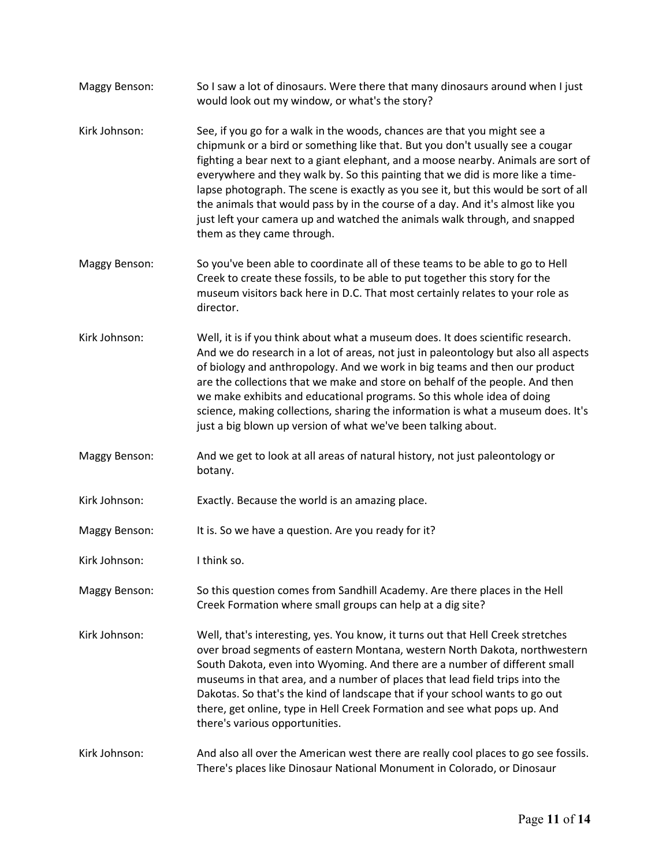Maggy Benson: So I saw a lot of dinosaurs. Were there that many dinosaurs around when I just would look out my window, or what's the story? Kirk Johnson: See, if you go for a walk in the woods, chances are that you might see a chipmunk or a bird or something like that. But you don't usually see a cougar fighting a bear next to a giant elephant, and a moose nearby. Animals are sort of everywhere and they walk by. So this painting that we did is more like a timelapse photograph. The scene is exactly as you see it, but this would be sort of all the animals that would pass by in the course of a day. And it's almost like you just left your camera up and watched the animals walk through, and snapped them as they came through. Maggy Benson: So you've been able to coordinate all of these teams to be able to go to Hell Creek to create these fossils, to be able to put together this story for the museum visitors back here in D.C. That most certainly relates to your role as director. Kirk Johnson: Well, it is if you think about what a museum does. It does scientific research. And we do research in a lot of areas, not just in paleontology but also all aspects of biology and anthropology. And we work in big teams and then our product are the collections that we make and store on behalf of the people. And then we make exhibits and educational programs. So this whole idea of doing science, making collections, sharing the information is what a museum does. It's just a big blown up version of what we've been talking about. Maggy Benson: And we get to look at all areas of natural history, not just paleontology or botany. Kirk Johnson: Exactly. Because the world is an amazing place. Maggy Benson: It is. So we have a question. Are you ready for it? Kirk Johnson: I think so. Maggy Benson: So this question comes from Sandhill Academy. Are there places in the Hell Creek Formation where small groups can help at a dig site? Kirk Johnson: Well, that's interesting, yes. You know, it turns out that Hell Creek stretches over broad segments of eastern Montana, western North Dakota, northwestern South Dakota, even into Wyoming. And there are a number of different small museums in that area, and a number of places that lead field trips into the Dakotas. So that's the kind of landscape that if your school wants to go out there, get online, type in Hell Creek Formation and see what pops up. And there's various opportunities. Kirk Johnson: And also all over the American west there are really cool places to go see fossils. There's places like Dinosaur National Monument in Colorado, or Dinosaur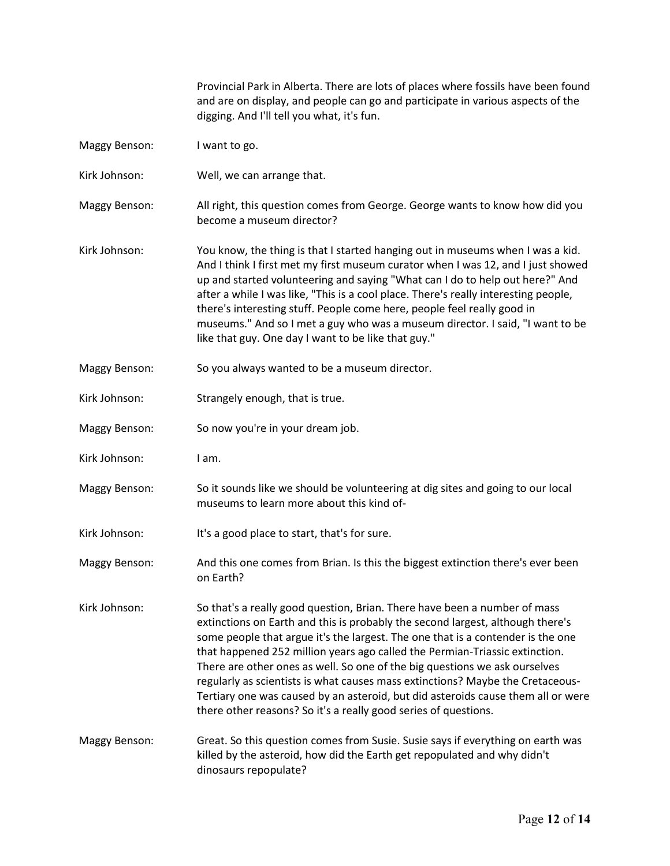Provincial Park in Alberta. There are lots of places where fossils have been found and are on display, and people can go and participate in various aspects of the digging. And I'll tell you what, it's fun.

- Maggy Benson: I want to go.
- Kirk Johnson: Well, we can arrange that.
- Maggy Benson: All right, this question comes from George. George wants to know how did you become a museum director?
- Kirk Johnson: You know, the thing is that I started hanging out in museums when I was a kid. And I think I first met my first museum curator when I was 12, and I just showed up and started volunteering and saying "What can I do to help out here?" And after a while I was like, "This is a cool place. There's really interesting people, there's interesting stuff. People come here, people feel really good in museums." And so I met a guy who was a museum director. I said, "I want to be like that guy. One day I want to be like that guy."
- Maggy Benson: So you always wanted to be a museum director.
- Kirk Johnson: Strangely enough, that is true.
- Maggy Benson: So now you're in your dream job.
- Kirk Johnson: I am.
- Maggy Benson: So it sounds like we should be volunteering at dig sites and going to our local museums to learn more about this kind of-
- Kirk Johnson: It's a good place to start, that's for sure.
- Maggy Benson: And this one comes from Brian. Is this the biggest extinction there's ever been on Earth?
- Kirk Johnson: So that's a really good question, Brian. There have been a number of mass extinctions on Earth and this is probably the second largest, although there's some people that argue it's the largest. The one that is a contender is the one that happened 252 million years ago called the Permian-Triassic extinction. There are other ones as well. So one of the big questions we ask ourselves regularly as scientists is what causes mass extinctions? Maybe the Cretaceous-Tertiary one was caused by an asteroid, but did asteroids cause them all or were there other reasons? So it's a really good series of questions.
- Maggy Benson: Great. So this question comes from Susie. Susie says if everything on earth was killed by the asteroid, how did the Earth get repopulated and why didn't dinosaurs repopulate?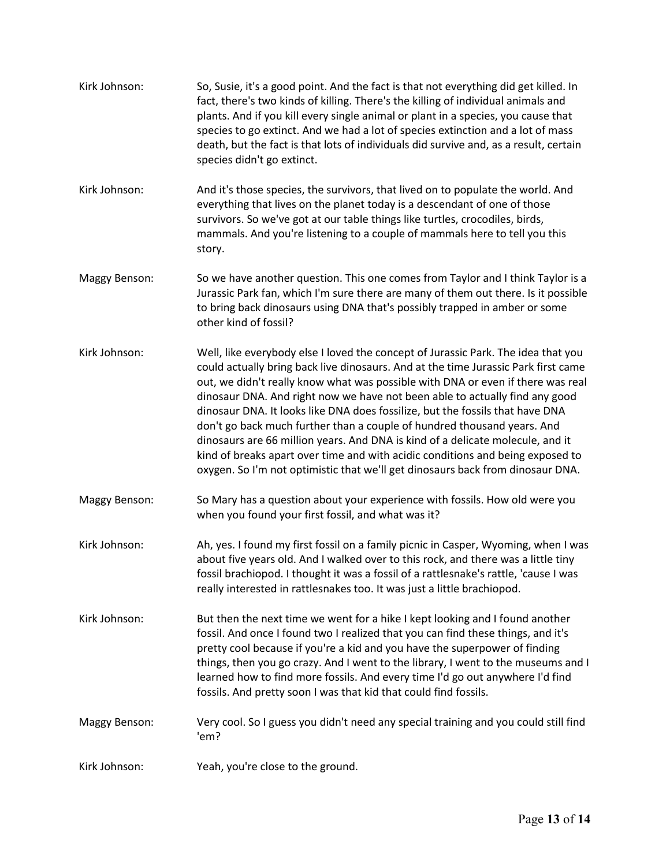| Kirk Johnson:        | So, Susie, it's a good point. And the fact is that not everything did get killed. In<br>fact, there's two kinds of killing. There's the killing of individual animals and<br>plants. And if you kill every single animal or plant in a species, you cause that<br>species to go extinct. And we had a lot of species extinction and a lot of mass<br>death, but the fact is that lots of individuals did survive and, as a result, certain<br>species didn't go extinct.                                                                                                                                                                                                                                                                                    |
|----------------------|-------------------------------------------------------------------------------------------------------------------------------------------------------------------------------------------------------------------------------------------------------------------------------------------------------------------------------------------------------------------------------------------------------------------------------------------------------------------------------------------------------------------------------------------------------------------------------------------------------------------------------------------------------------------------------------------------------------------------------------------------------------|
| Kirk Johnson:        | And it's those species, the survivors, that lived on to populate the world. And<br>everything that lives on the planet today is a descendant of one of those<br>survivors. So we've got at our table things like turtles, crocodiles, birds,<br>mammals. And you're listening to a couple of mammals here to tell you this<br>story.                                                                                                                                                                                                                                                                                                                                                                                                                        |
| Maggy Benson:        | So we have another question. This one comes from Taylor and I think Taylor is a<br>Jurassic Park fan, which I'm sure there are many of them out there. Is it possible<br>to bring back dinosaurs using DNA that's possibly trapped in amber or some<br>other kind of fossil?                                                                                                                                                                                                                                                                                                                                                                                                                                                                                |
| Kirk Johnson:        | Well, like everybody else I loved the concept of Jurassic Park. The idea that you<br>could actually bring back live dinosaurs. And at the time Jurassic Park first came<br>out, we didn't really know what was possible with DNA or even if there was real<br>dinosaur DNA. And right now we have not been able to actually find any good<br>dinosaur DNA. It looks like DNA does fossilize, but the fossils that have DNA<br>don't go back much further than a couple of hundred thousand years. And<br>dinosaurs are 66 million years. And DNA is kind of a delicate molecule, and it<br>kind of breaks apart over time and with acidic conditions and being exposed to<br>oxygen. So I'm not optimistic that we'll get dinosaurs back from dinosaur DNA. |
| Maggy Benson:        | So Mary has a question about your experience with fossils. How old were you<br>when you found your first fossil, and what was it?                                                                                                                                                                                                                                                                                                                                                                                                                                                                                                                                                                                                                           |
| Kirk Johnson:        | Ah, yes. I found my first fossil on a family picnic in Casper, Wyoming, when I was<br>about five years old. And I walked over to this rock, and there was a little tiny<br>fossil brachiopod. I thought it was a fossil of a rattlesnake's rattle, 'cause I was<br>really interested in rattlesnakes too. It was just a little brachiopod.                                                                                                                                                                                                                                                                                                                                                                                                                  |
| Kirk Johnson:        | But then the next time we went for a hike I kept looking and I found another<br>fossil. And once I found two I realized that you can find these things, and it's<br>pretty cool because if you're a kid and you have the superpower of finding<br>things, then you go crazy. And I went to the library, I went to the museums and I<br>learned how to find more fossils. And every time I'd go out anywhere I'd find<br>fossils. And pretty soon I was that kid that could find fossils.                                                                                                                                                                                                                                                                    |
| <b>Maggy Benson:</b> | Very cool. So I guess you didn't need any special training and you could still find<br>'em?                                                                                                                                                                                                                                                                                                                                                                                                                                                                                                                                                                                                                                                                 |
| Kirk Johnson:        | Yeah, you're close to the ground.                                                                                                                                                                                                                                                                                                                                                                                                                                                                                                                                                                                                                                                                                                                           |